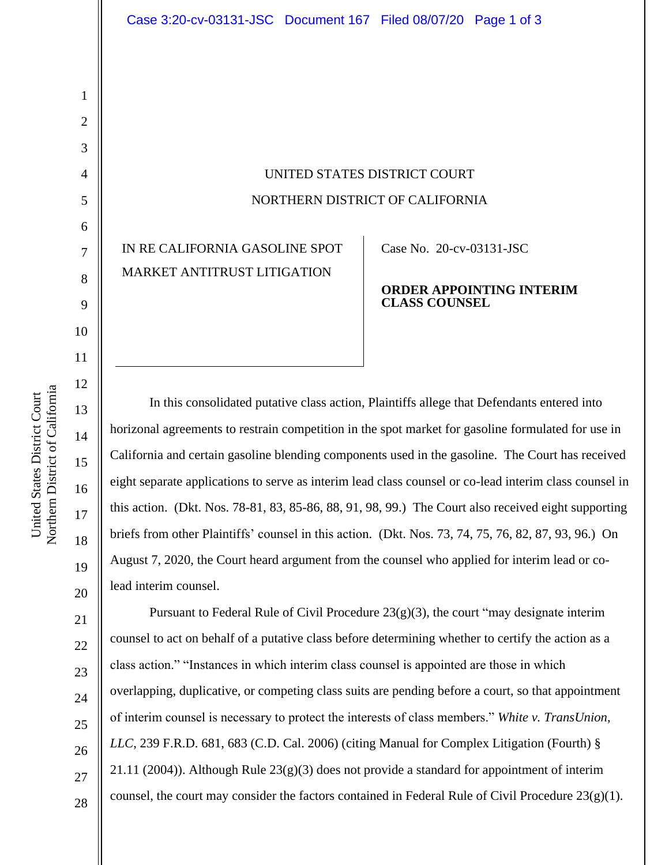UNITED STATES DISTRICT COURT NORTHERN DISTRICT OF CALIFORNIA

IN RE CALIFORNIA GASOLINE SPOT MARKET ANTITRUST LITIGATION

Case No. 20-cv-03131-JSC

## **ORDER APPOINTING INTERIM CLASS COUNSEL**

In this consolidated putative class action, Plaintiffs allege that Defendants entered into horizonal agreements to restrain competition in the spot market for gasoline formulated for use in California and certain gasoline blending components used in the gasoline. The Court has received eight separate applications to serve as interim lead class counsel or co-lead interim class counsel in this action. (Dkt. Nos. 78-81, 83, 85-86, 88, 91, 98, 99.) The Court also received eight supporting briefs from other Plaintiffs' counsel in this action. (Dkt. Nos. 73, 74, 75, 76, 82, 87, 93, 96.) On August 7, 2020, the Court heard argument from the counsel who applied for interim lead or colead interim counsel.

Pursuant to Federal Rule of Civil Procedure  $23(g)(3)$ , the court "may designate interim counsel to act on behalf of a putative class before determining whether to certify the action as a class action." "Instances in which interim class counsel is appointed are those in which overlapping, duplicative, or competing class suits are pending before a court, so that appointment of interim counsel is necessary to protect the interests of class members." *White v. TransUnion, LLC*, 239 F.R.D. 681, 683 (C.D. Cal. 2006) (citing Manual for Complex Litigation (Fourth) § 21.11 (2004)). Although Rule  $23(g)(3)$  does not provide a standard for appointment of interim counsel, the court may consider the factors contained in Federal Rule of Civil Procedure 23(g)(1).

1

2

3

4

5

6

7

8

9

10

11

12

13

14

15

16

17

18

28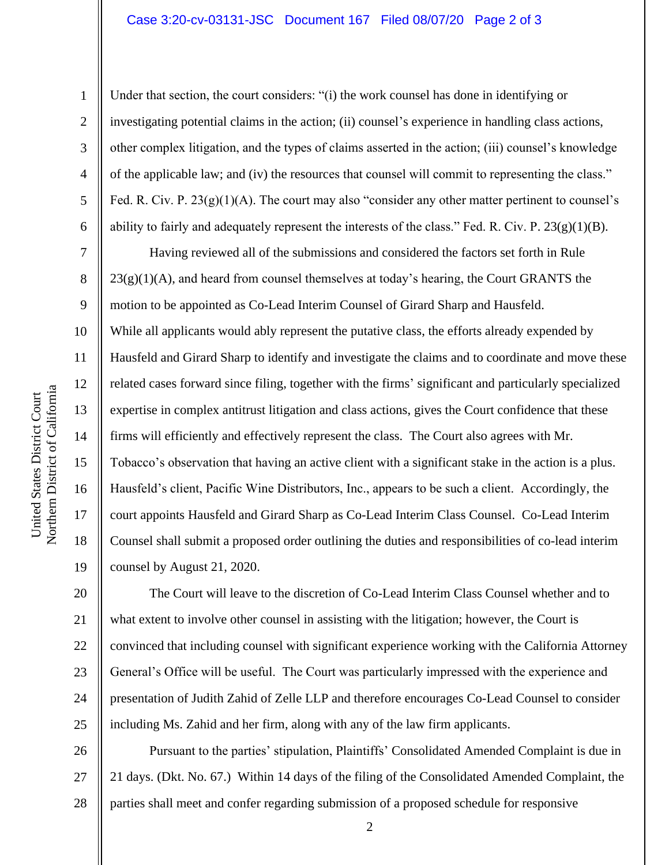## Case 3:20-cv-03131-JSC Document 167 Filed 08/07/20 Page 2 of 3

United States District Court

Northern District of California United States District Court

1

2

3

4

5

6

Under that section, the court considers: "(i) the work counsel has done in identifying or investigating potential claims in the action; (ii) counsel's experience in handling class actions, other complex litigation, and the types of claims asserted in the action; (iii) counsel's knowledge of the applicable law; and (iv) the resources that counsel will commit to representing the class." Fed. R. Civ. P. 23(g)(1)(A). The court may also "consider any other matter pertinent to counsel's ability to fairly and adequately represent the interests of the class." Fed. R. Civ. P. 23(g)(1)(B).

7 8 9 18 19 Having reviewed all of the submissions and considered the factors set forth in Rule  $23(g)(1)(A)$ , and heard from counsel themselves at today's hearing, the Court GRANTS the motion to be appointed as Co-Lead Interim Counsel of Girard Sharp and Hausfeld. While all applicants would ably represent the putative class, the efforts already expended by Hausfeld and Girard Sharp to identify and investigate the claims and to coordinate and move these related cases forward since filing, together with the firms' significant and particularly specialized expertise in complex antitrust litigation and class actions, gives the Court confidence that these firms will efficiently and effectively represent the class. The Court also agrees with Mr. Tobacco's observation that having an active client with a significant stake in the action is a plus. Hausfeld's client, Pacific Wine Distributors, Inc., appears to be such a client. Accordingly, the court appoints Hausfeld and Girard Sharp as Co-Lead Interim Class Counsel. Co-Lead Interim Counsel shall submit a proposed order outlining the duties and responsibilities of co-lead interim counsel by August 21, 2020.

20 21 22 23 24 25 The Court will leave to the discretion of Co-Lead Interim Class Counsel whether and to what extent to involve other counsel in assisting with the litigation; however, the Court is convinced that including counsel with significant experience working with the California Attorney General's Office will be useful. The Court was particularly impressed with the experience and presentation of Judith Zahid of Zelle LLP and therefore encourages Co-Lead Counsel to consider including Ms. Zahid and her firm, along with any of the law firm applicants.

26 27 28 Pursuant to the parties' stipulation, Plaintiffs' Consolidated Amended Complaint is due in 21 days. (Dkt. No. 67.) Within 14 days of the filing of the Consolidated Amended Complaint, the parties shall meet and confer regarding submission of a proposed schedule for responsive